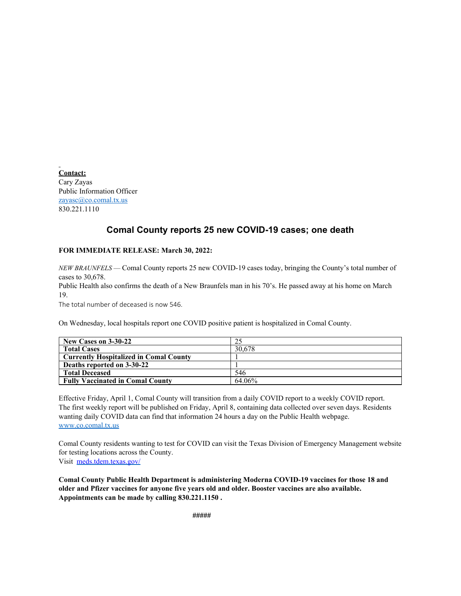**Contact:** Cary Zayas Public Information Officer [zayasc@co.comal.tx.us](mailto:zayasc@co.comal.tx.us) 830.221.1110

## **Comal County reports 25 new COVID-19 cases; one death**

## **FOR IMMEDIATE RELEASE: March 30, 2022:**

*NEW BRAUNFELS* — Comal County reports 25 new COVID-19 cases today, bringing the County's total number of cases to 30,678.

Public Health also confirms the death of a New Braunfels man in his 70's. He passed away at his home on March 19.

The total number of deceased is now 546.

On Wednesday, local hospitals report one COVID positive patient is hospitalized in Comal County.

| New Cases on 3-30-22                          |        |
|-----------------------------------------------|--------|
| <b>Total Cases</b>                            | 30,678 |
| <b>Currently Hospitalized in Comal County</b> |        |
| Deaths reported on 3-30-22                    |        |
| <b>Total Deceased</b>                         | 546    |
| <b>Fully Vaccinated in Comal County</b>       | 64.06% |

Effective Friday, April 1, Comal County will transition from a daily COVID report to a weekly COVID report. The first weekly report will be published on Friday, April 8, containing data collected over seven days. Residents wanting daily COVID data can find that information 24 hours a day on the Public Health webpage. [www.co.comal.tx.us](http://www.co.comal.tx.us/)

Comal County residents wanting to test for COVID can visit the Texas Division of Emergency Management website for testing locations across the County.

Visit [meds.tdem.texas.gov/](http://meds.tdem.texas.gov/?fbclid=IwAR2Xfx6nd5vJcr0PNwWKni1HK2nO8eFtjGWJGORvNvJWFDKHzLWe1RNSaVw)

**Comal County Public Health Department is administering Moderna COVID-19 vaccines for those 18 and older and Pfizer vaccines for anyone five years old and older. Booster vaccines are also available. Appointments can be made by calling 830.221.1150 .**